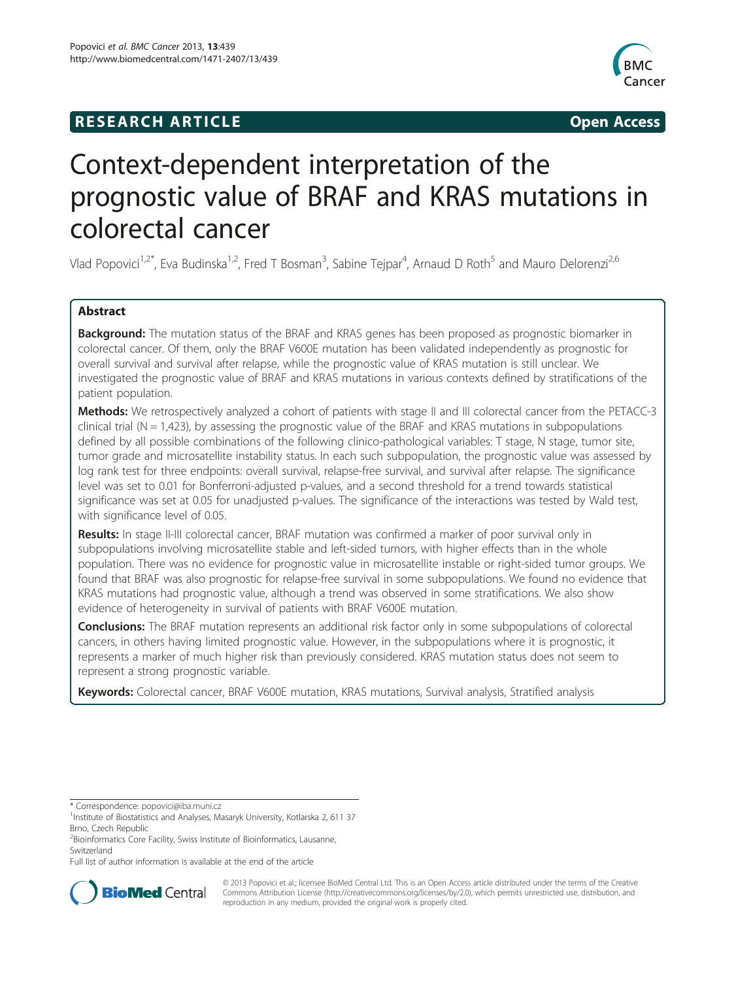# **RESEARCH ARTICLE Example 2014 The SEAR CH ACCESS**



# Context-dependent interpretation of the prognostic value of BRAF and KRAS mutations in colorectal cancer

Vlad Popovici<sup>1,2\*</sup>, Eva Budinska<sup>1,2</sup>, Fred T Bosman<sup>3</sup>, Sabine Tejpar<sup>4</sup>, Arnaud D Roth<sup>5</sup> and Mauro Delorenzi<sup>2,6</sup>

# Abstract

**Background:** The mutation status of the BRAF and KRAS genes has been proposed as prognostic biomarker in colorectal cancer. Of them, only the BRAF V600E mutation has been validated independently as prognostic for overall survival and survival after relapse, while the prognostic value of KRAS mutation is still unclear. We investigated the prognostic value of BRAF and KRAS mutations in various contexts defined by stratifications of the patient population.

Methods: We retrospectively analyzed a cohort of patients with stage II and III colorectal cancer from the PETACC-3 clinical trial ( $N = 1,423$ ), by assessing the prognostic value of the BRAF and KRAS mutations in subpopulations defined by all possible combinations of the following clinico-pathological variables: T stage, N stage, tumor site, tumor grade and microsatellite instability status. In each such subpopulation, the prognostic value was assessed by log rank test for three endpoints: overall survival, relapse-free survival, and survival after relapse. The significance level was set to 0.01 for Bonferroni-adjusted p-values, and a second threshold for a trend towards statistical significance was set at 0.05 for unadjusted p-values. The significance of the interactions was tested by Wald test, with significance level of 0.05.

Results: In stage II-III colorectal cancer, BRAF mutation was confirmed a marker of poor survival only in subpopulations involving microsatellite stable and left-sided tumors, with higher effects than in the whole population. There was no evidence for prognostic value in microsatellite instable or right-sided tumor groups. We found that BRAF was also prognostic for relapse-free survival in some subpopulations. We found no evidence that KRAS mutations had prognostic value, although a trend was observed in some stratifications. We also show evidence of heterogeneity in survival of patients with BRAF V600E mutation.

**Conclusions:** The BRAF mutation represents an additional risk factor only in some subpopulations of colorectal cancers, in others having limited prognostic value. However, in the subpopulations where it is prognostic, it represents a marker of much higher risk than previously considered. KRAS mutation status does not seem to represent a strong prognostic variable.

Keywords: Colorectal cancer, BRAF V600E mutation, KRAS mutations, Survival analysis, Stratified analysis

Full list of author information is available at the end of the article



© 2013 Popovici et al.; licensee BioMed Central Ltd. This is an Open Access article distributed under the terms of the Creative Commons Attribution License [\(http://creativecommons.org/licenses/by/2.0\)](http://creativecommons.org/licenses/by/2.0), which permits unrestricted use, distribution, and reproduction in any medium, provided the original work is properly cited.

<sup>\*</sup> Correspondence: [popovici@iba.muni.cz](mailto:popovici@iba.muni.cz) <sup>1</sup>

<sup>&</sup>lt;sup>1</sup> Institute of Biostatistics and Analyses, Masaryk University, Kotlarska 2, 611 37 Brno, Czech Republic

<sup>&</sup>lt;sup>2</sup> Bioinformatics Core Facility, Swiss Institute of Bioinformatics, Lausanne, **Switzerland**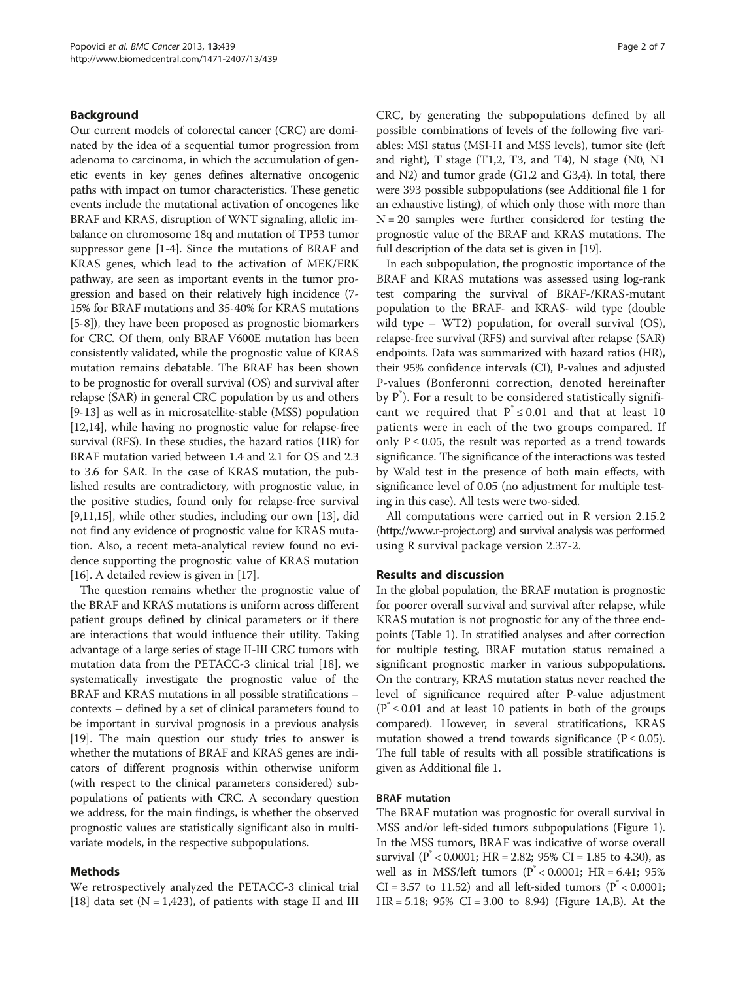# Background

Our current models of colorectal cancer (CRC) are dominated by the idea of a sequential tumor progression from adenoma to carcinoma, in which the accumulation of genetic events in key genes defines alternative oncogenic paths with impact on tumor characteristics. These genetic events include the mutational activation of oncogenes like BRAF and KRAS, disruption of WNT signaling, allelic imbalance on chromosome 18q and mutation of TP53 tumor suppressor gene [\[1-4](#page-5-0)]. Since the mutations of BRAF and KRAS genes, which lead to the activation of MEK/ERK pathway, are seen as important events in the tumor progression and based on their relatively high incidence (7- 15% for BRAF mutations and 35-40% for KRAS mutations [[5-8\]](#page-5-0)), they have been proposed as prognostic biomarkers for CRC. Of them, only BRAF V600E mutation has been consistently validated, while the prognostic value of KRAS mutation remains debatable. The BRAF has been shown to be prognostic for overall survival (OS) and survival after relapse (SAR) in general CRC population by us and others [[9-](#page-5-0)[13\]](#page-6-0) as well as in microsatellite-stable (MSS) population [[12,14](#page-6-0)], while having no prognostic value for relapse-free survival (RFS). In these studies, the hazard ratios (HR) for BRAF mutation varied between 1.4 and 2.1 for OS and 2.3 to 3.6 for SAR. In the case of KRAS mutation, the published results are contradictory, with prognostic value, in the positive studies, found only for relapse-free survival [[9,](#page-5-0)[11,15\]](#page-6-0), while other studies, including our own [[13](#page-6-0)], did not find any evidence of prognostic value for KRAS mutation. Also, a recent meta-analytical review found no evidence supporting the prognostic value of KRAS mutation [[16](#page-6-0)]. A detailed review is given in [\[17\]](#page-6-0).

The question remains whether the prognostic value of the BRAF and KRAS mutations is uniform across different patient groups defined by clinical parameters or if there are interactions that would influence their utility. Taking advantage of a large series of stage II-III CRC tumors with mutation data from the PETACC-3 clinical trial [[18](#page-6-0)], we systematically investigate the prognostic value of the BRAF and KRAS mutations in all possible stratifications – contexts – defined by a set of clinical parameters found to be important in survival prognosis in a previous analysis [[19](#page-6-0)]. The main question our study tries to answer is whether the mutations of BRAF and KRAS genes are indicators of different prognosis within otherwise uniform (with respect to the clinical parameters considered) subpopulations of patients with CRC. A secondary question we address, for the main findings, is whether the observed prognostic values are statistically significant also in multivariate models, in the respective subpopulations.

# Methods

We retrospectively analyzed the PETACC-3 clinical trial [[18\]](#page-6-0) data set ( $N = 1,423$ ), of patients with stage II and III CRC, by generating the subpopulations defined by all possible combinations of levels of the following five variables: MSI status (MSI-H and MSS levels), tumor site (left and right), T stage (T1,2, T3, and T4), N stage (N0, N1 and N2) and tumor grade (G1,2 and G3,4). In total, there were 393 possible subpopulations (see Additional file [1](#page-5-0) for an exhaustive listing), of which only those with more than  $N = 20$  samples were further considered for testing the prognostic value of the BRAF and KRAS mutations. The full description of the data set is given in [\[19\]](#page-6-0).

In each subpopulation, the prognostic importance of the BRAF and KRAS mutations was assessed using log-rank test comparing the survival of BRAF-/KRAS-mutant population to the BRAF- and KRAS- wild type (double wild type – WT2) population, for overall survival (OS), relapse-free survival (RFS) and survival after relapse (SAR) endpoints. Data was summarized with hazard ratios (HR), their 95% confidence intervals (CI), P-values and adjusted P-values (Bonferonni correction, denoted hereinafter by P\* ). For a result to be considered statistically significant we required that  $P^* \le 0.01$  and that at least 10 patients were in each of the two groups compared. If only  $P \le 0.05$ , the result was reported as a trend towards significance. The significance of the interactions was tested by Wald test in the presence of both main effects, with significance level of 0.05 (no adjustment for multiple testing in this case). All tests were two-sided.

All computations were carried out in R version 2.15.2 (<http://www.r-project.org>) and survival analysis was performed using R survival package version 2.37-2.

# Results and discussion

In the global population, the BRAF mutation is prognostic for poorer overall survival and survival after relapse, while KRAS mutation is not prognostic for any of the three endpoints (Table [1](#page-2-0)). In stratified analyses and after correction for multiple testing, BRAF mutation status remained a significant prognostic marker in various subpopulations. On the contrary, KRAS mutation status never reached the level of significance required after P-value adjustment (P\* ≤ 0.01 and at least 10 patients in both of the groups compared). However, in several stratifications, KRAS mutation showed a trend towards significance ( $P \le 0.05$ ). The full table of results with all possible stratifications is given as Additional file [1](#page-5-0).

# BRAF mutation

The BRAF mutation was prognostic for overall survival in MSS and/or left-sided tumors subpopulations (Figure [1](#page-2-0)). In the MSS tumors, BRAF was indicative of worse overall survival ( $P^* < 0.0001$ ; HR = 2.82; 95% CI = 1.85 to 4.30), as well as in MSS/left tumors (P\* < 0.0001; HR = 6.41; 95% CI = 3.57 to 11.52) and all left-sided tumors ( $P^* < 0.0001$ ; HR = 5.18; 95% CI = 3.00 to 8.94) (Figure [1A](#page-2-0),B). At the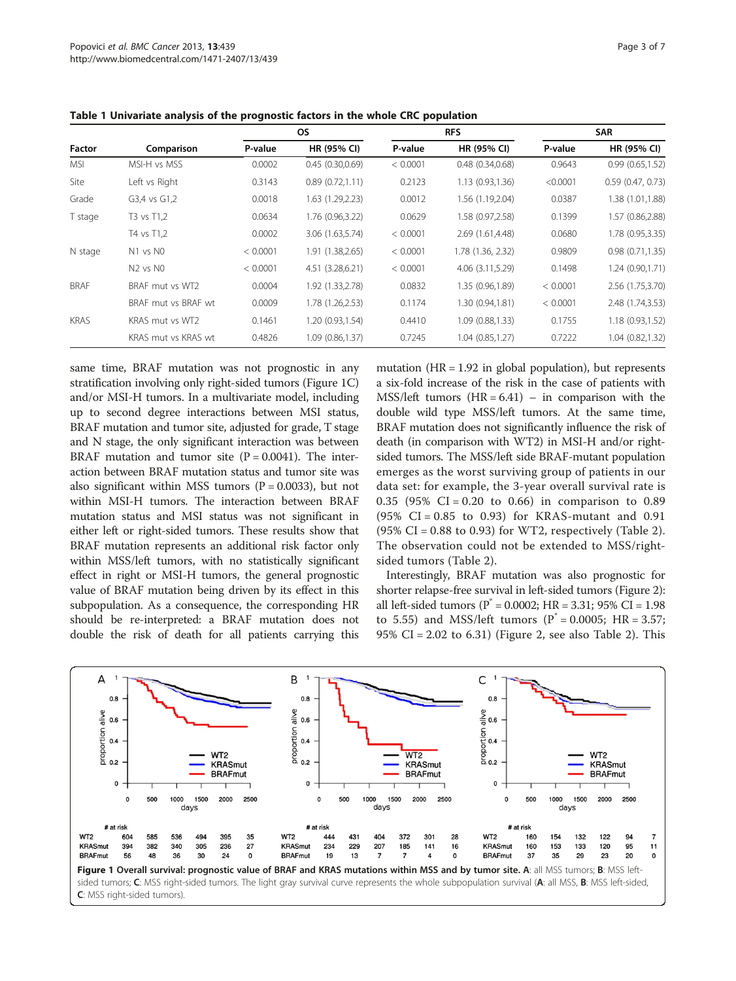| Factor      | Comparison                       | <b>OS</b> |                  | <b>RFS</b> |                   | <b>SAR</b> |                     |
|-------------|----------------------------------|-----------|------------------|------------|-------------------|------------|---------------------|
|             |                                  | P-value   | HR (95% CI)      | P-value    | HR (95% CI)       | P-value    | HR (95% CI)         |
| <b>MSI</b>  | MSI-H vs MSS                     | 0.0002    | 0.45(0.30,0.69)  | < 0.0001   | 0.48(0.34, 0.68)  | 0.9643     | 0.99(0.65, 1.52)    |
| Site        | Left vs Right                    | 0.3143    | 0.89(0.72,1.11)  | 0.2123     | 1.13(0.93, 1.36)  | < 0.0001   | $0.59$ (0.47, 0.73) |
| Grade       | G3,4 vs G1,2                     | 0.0018    | 1.63 (1.29,2.23) | 0.0012     | 1.56 (1.19,2.04)  | 0.0387     | 1.38 (1.01,1.88)    |
| T stage     | T3 vs T1,2                       | 0.0634    | 1.76 (0.96,3.22) | 0.0629     | 1.58 (0.97,2.58)  | 0.1399     | 1.57 (0.86,2.88)    |
|             | T4 vs T1,2                       | 0.0002    | 3.06 (1.63,5.74) | < 0.0001   | 2.69 (1.61,4.48)  | 0.0680     | 1.78 (0.95,3.35)    |
| N stage     | N1 vs N0                         | < 0.0001  | 1.91 (1.38,2.65) | < 0.0001   | 1.78 (1.36, 2.32) | 0.9809     | 0.98(0.71, 1.35)    |
|             | N <sub>2</sub> vs N <sub>0</sub> | < 0.0001  | 4.51 (3.28,6.21) | < 0.0001   | 4.06 (3.11,5.29)  | 0.1498     | 1.24 (0.90,1.71)    |
| <b>BRAF</b> | BRAF mut vs WT2                  | 0.0004    | 1.92 (1.33,2.78) | 0.0832     | 1.35 (0.96,1.89)  | < 0.0001   | 2.56 (1.75,3.70)    |
|             | BRAF mut vs BRAF wt              | 0.0009    | 1.78 (1.26,2.53) | 0.1174     | 1.30 (0.94,1.81)  | < 0.0001   | 2.48 (1.74,3.53)    |
| <b>KRAS</b> | KRAS mut vs WT2                  | 0.1461    | 1.20 (0.93,1.54) | 0.4410     | 1.09(0.88, 1.33)  | 0.1755     | 1.18 (0.93,1.52)    |
|             | KRAS mut vs KRAS wt              | 0.4826    | 1.09 (0.86,1.37) | 0.7245     | 1.04(0.85, 1.27)  | 0.7222     | 1.04 (0.82,1.32)    |

<span id="page-2-0"></span>Table 1 Univariate analysis of the prognostic factors in the whole CRC population

same time, BRAF mutation was not prognostic in any stratification involving only right-sided tumors (Figure 1C) and/or MSI-H tumors. In a multivariate model, including up to second degree interactions between MSI status, BRAF mutation and tumor site, adjusted for grade, T stage and N stage, the only significant interaction was between BRAF mutation and tumor site  $(P = 0.0041)$ . The interaction between BRAF mutation status and tumor site was also significant within MSS tumors ( $P = 0.0033$ ), but not within MSI-H tumors. The interaction between BRAF mutation status and MSI status was not significant in either left or right-sided tumors. These results show that BRAF mutation represents an additional risk factor only within MSS/left tumors, with no statistically significant effect in right or MSI-H tumors, the general prognostic value of BRAF mutation being driven by its effect in this subpopulation. As a consequence, the corresponding HR should be re-interpreted: a BRAF mutation does not double the risk of death for all patients carrying this

mutation ( $HR = 1.92$  in global population), but represents a six-fold increase of the risk in the case of patients with MSS/left tumors  $(HR = 6.41) - in comparison with the$ double wild type MSS/left tumors. At the same time, BRAF mutation does not significantly influence the risk of death (in comparison with WT2) in MSI-H and/or rightsided tumors. The MSS/left side BRAF-mutant population emerges as the worst surviving group of patients in our data set: for example, the 3-year overall survival rate is 0.35 (95% CI = 0.20 to 0.66) in comparison to 0.89  $(95\% \text{ CI} = 0.85 \text{ to } 0.93)$  for KRAS-mutant and 0.91 (95% CI =  $0.88$  to  $0.93$ ) for WT2, respectively (Table [2](#page-3-0)). The observation could not be extended to MSS/rightsided tumors (Table [2\)](#page-3-0).

Interestingly, BRAF mutation was also prognostic for shorter relapse-free survival in left-sided tumors (Figure [2](#page-3-0)): all left-sided tumors ( $P^* = 0.0002$ ; HR = 3.31; 95% CI = 1.98 to 5.55) and MSS/left tumors ( $P^* = 0.0005$ ; HR = 3.57; 95% CI = 2.02 to 6.31) (Figure [2](#page-3-0), see also Table [2](#page-3-0)). This

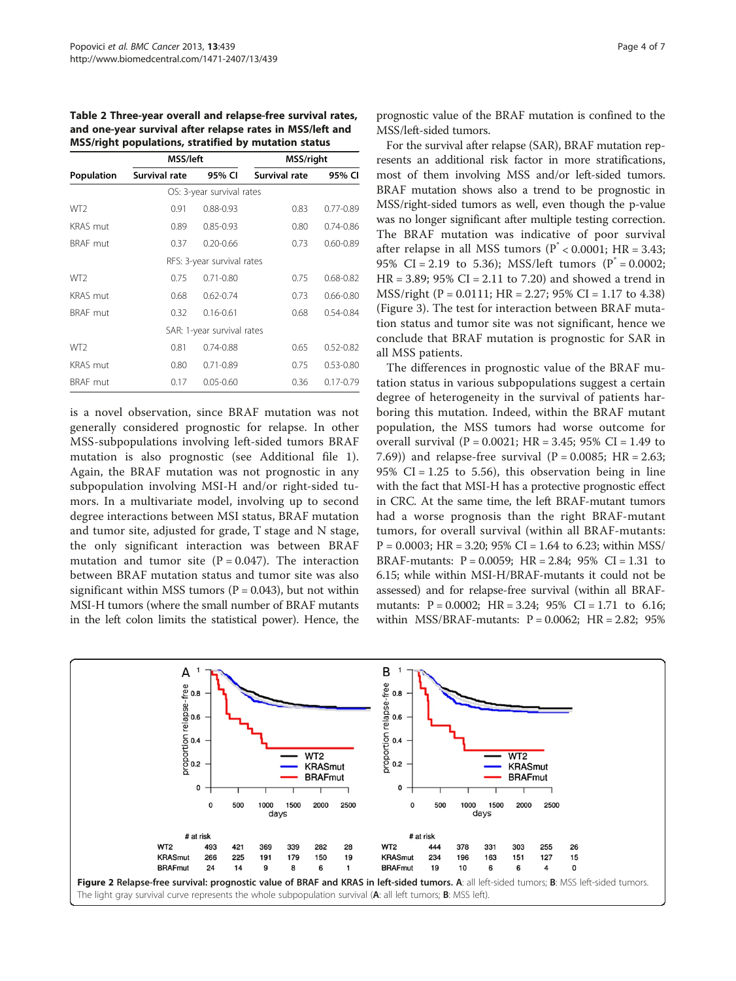<span id="page-3-0"></span>Table 2 Three-year overall and relapse-free survival rates, and one-year survival after relapse rates in MSS/left and MSS/right populations, stratified by mutation status

|                 | MSS/left      |                            | <b>MSS/right</b> |               |  |
|-----------------|---------------|----------------------------|------------------|---------------|--|
| Population      | Survival rate | 95% CI                     | Survival rate    | 95% CI        |  |
|                 |               | OS: 3-year survival rates  |                  |               |  |
| WT <sub>2</sub> | 0.91          | $0.88 - 0.93$              | 0.83             | $0.77 - 0.89$ |  |
| <b>KRAS</b> mut | 0.89          | $0.85 - 0.93$              | 0.80             | $0.74 - 0.86$ |  |
| <b>BRAF</b> mut | 0.37          | $0.20 - 0.66$              | 0.73             | $0.60 - 0.89$ |  |
|                 |               | RFS: 3-year survival rates |                  |               |  |
| WT <sub>2</sub> | 0.75          | $0.71 - 0.80$              | 0.75             | $0.68 - 0.82$ |  |
| <b>KRAS</b> mut | 0.68          | $0.62 - 0.74$              | 0.73             | $0.66 - 0.80$ |  |
| <b>BRAF</b> mut | 0.32          | $0.16 - 0.61$              | 0.68             | $0.54 - 0.84$ |  |
|                 |               | SAR: 1-year survival rates |                  |               |  |
| WT <sub>2</sub> | 0.81          | $0.74 - 0.88$              | 0.65             | $0.52 - 0.82$ |  |
| <b>KRAS</b> mut | 0.80          | $0.71 - 0.89$              | 0.75             | $0.53 - 0.80$ |  |
| <b>BRAF</b> mut | 0.17          | $0.05 - 0.60$              | 0.36             | $0.17 - 0.79$ |  |

is a novel observation, since BRAF mutation was not generally considered prognostic for relapse. In other MSS-subpopulations involving left-sided tumors BRAF mutation is also prognostic (see Additional file [1](#page-5-0)). Again, the BRAF mutation was not prognostic in any subpopulation involving MSI-H and/or right-sided tumors. In a multivariate model, involving up to second degree interactions between MSI status, BRAF mutation and tumor site, adjusted for grade, T stage and N stage, the only significant interaction was between BRAF mutation and tumor site  $(P = 0.047)$ . The interaction between BRAF mutation status and tumor site was also significant within MSS tumors ( $P = 0.043$ ), but not within MSI-H tumors (where the small number of BRAF mutants in the left colon limits the statistical power). Hence, the

prognostic value of the BRAF mutation is confined to the MSS/left-sided tumors.

For the survival after relapse (SAR), BRAF mutation represents an additional risk factor in more stratifications, most of them involving MSS and/or left-sided tumors. BRAF mutation shows also a trend to be prognostic in MSS/right-sided tumors as well, even though the p-value was no longer significant after multiple testing correction. The BRAF mutation was indicative of poor survival after relapse in all MSS tumors ( $P^* < 0.0001$ ; HR = 3.43; 95% CI = 2.19 to 5.36); MSS/left tumors ( $P^* = 0.0002$ ; HR = 3.89; 95% CI = 2.11 to 7.20) and showed a trend in MSS/right (P = 0.0111; HR = 2.27; 95% CI = 1.17 to 4.38) (Figure [3\)](#page-4-0). The test for interaction between BRAF mutation status and tumor site was not significant, hence we conclude that BRAF mutation is prognostic for SAR in all MSS patients.

The differences in prognostic value of the BRAF mutation status in various subpopulations suggest a certain degree of heterogeneity in the survival of patients harboring this mutation. Indeed, within the BRAF mutant population, the MSS tumors had worse outcome for overall survival ( $P = 0.0021$ ; HR = 3.45; 95% CI = 1.49 to 7.69)) and relapse-free survival  $(P = 0.0085; HR = 2.63;$ 95% CI = 1.25 to 5.56), this observation being in line with the fact that MSI-H has a protective prognostic effect in CRC. At the same time, the left BRAF-mutant tumors had a worse prognosis than the right BRAF-mutant tumors, for overall survival (within all BRAF-mutants:  $P = 0.0003$ ; HR = 3.20; 95% CI = 1.64 to 6.23; within MSS/ BRAF-mutants:  $P = 0.0059$ ;  $HR = 2.84$ ; 95%  $CI = 1.31$  to 6.15; while within MSI-H/BRAF-mutants it could not be assessed) and for relapse-free survival (within all BRAFmutants:  $P = 0.0002$ ;  $HR = 3.24$ ;  $95\%$   $CI = 1.71$  to 6.16; within MSS/BRAF-mutants:  $P = 0.0062$ ;  $HR = 2.82$ ; 95%

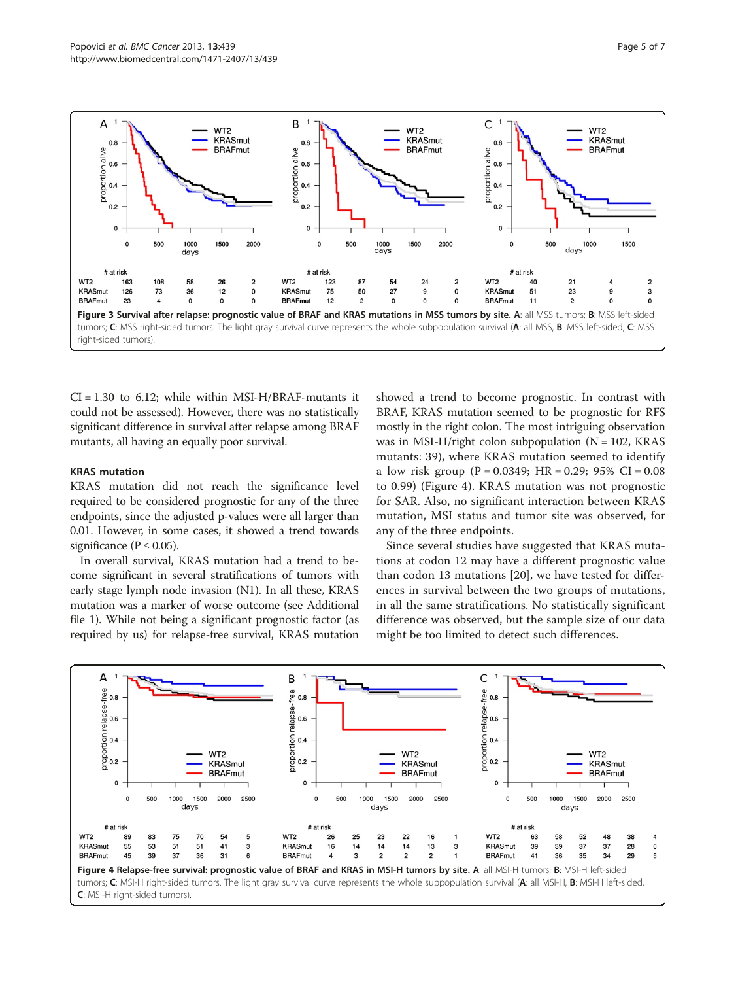<span id="page-4-0"></span>

 $CI = 1.30$  to 6.12; while within MSI-H/BRAF-mutants it could not be assessed). However, there was no statistically significant difference in survival after relapse among BRAF mutants, all having an equally poor survival.

# KRAS mutation

KRAS mutation did not reach the significance level required to be considered prognostic for any of the three endpoints, since the adjusted p-values were all larger than 0.01. However, in some cases, it showed a trend towards significance ( $P \le 0.05$ ).

In overall survival, KRAS mutation had a trend to become significant in several stratifications of tumors with early stage lymph node invasion (N1). In all these, KRAS mutation was a marker of worse outcome (see Additional file [1](#page-5-0)). While not being a significant prognostic factor (as required by us) for relapse-free survival, KRAS mutation

showed a trend to become prognostic. In contrast with BRAF, KRAS mutation seemed to be prognostic for RFS mostly in the right colon. The most intriguing observation was in MSI-H/right colon subpopulation  $(N = 102, KRAS)$ mutants: 39), where KRAS mutation seemed to identify a low risk group (P = 0.0349; HR = 0.29; 95% CI = 0.08 to 0.99) (Figure 4). KRAS mutation was not prognostic for SAR. Also, no significant interaction between KRAS mutation, MSI status and tumor site was observed, for any of the three endpoints.

Since several studies have suggested that KRAS mutations at codon 12 may have a different prognostic value than codon 13 mutations [[20\]](#page-6-0), we have tested for differences in survival between the two groups of mutations, in all the same stratifications. No statistically significant difference was observed, but the sample size of our data might be too limited to detect such differences.

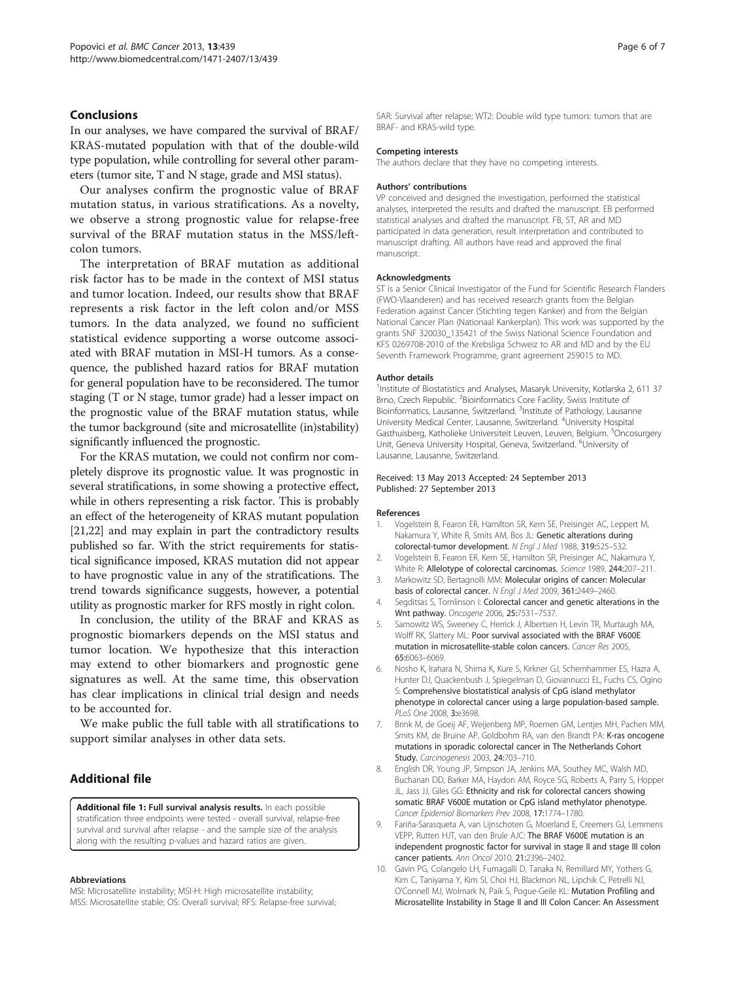# <span id="page-5-0"></span>Conclusions

In our analyses, we have compared the survival of BRAF/ KRAS-mutated population with that of the double-wild type population, while controlling for several other parameters (tumor site, T and N stage, grade and MSI status).

Our analyses confirm the prognostic value of BRAF mutation status, in various stratifications. As a novelty, we observe a strong prognostic value for relapse-free survival of the BRAF mutation status in the MSS/leftcolon tumors.

The interpretation of BRAF mutation as additional risk factor has to be made in the context of MSI status and tumor location. Indeed, our results show that BRAF represents a risk factor in the left colon and/or MSS tumors. In the data analyzed, we found no sufficient statistical evidence supporting a worse outcome associated with BRAF mutation in MSI-H tumors. As a consequence, the published hazard ratios for BRAF mutation for general population have to be reconsidered. The tumor staging (T or N stage, tumor grade) had a lesser impact on the prognostic value of the BRAF mutation status, while the tumor background (site and microsatellite (in)stability) significantly influenced the prognostic.

For the KRAS mutation, we could not confirm nor completely disprove its prognostic value. It was prognostic in several stratifications, in some showing a protective effect, while in others representing a risk factor. This is probably an effect of the heterogeneity of KRAS mutant population [[21,22](#page-6-0)] and may explain in part the contradictory results published so far. With the strict requirements for statistical significance imposed, KRAS mutation did not appear to have prognostic value in any of the stratifications. The trend towards significance suggests, however, a potential utility as prognostic marker for RFS mostly in right colon.

In conclusion, the utility of the BRAF and KRAS as prognostic biomarkers depends on the MSI status and tumor location. We hypothesize that this interaction may extend to other biomarkers and prognostic gene signatures as well. At the same time, this observation has clear implications in clinical trial design and needs to be accounted for.

We make public the full table with all stratifications to support similar analyses in other data sets.

# Additional file

[Additional file 1:](http://www.biomedcentral.com/content/supplementary/1471-2407-13-439-S1.xlsx) Full survival analysis results. In each possible stratification three endpoints were tested - overall survival, relapse-free survival and survival after relapse - and the sample size of the analysis along with the resulting p-values and hazard ratios are given.

#### Abbreviations

MSI: Microsatellite instability; MSI-H: High microsatellite instability; MSS: Microsatellite stable; OS: Overall survival; RFS: Relapse-free survival;

SAR: Survival after relapse; WT2: Double wild type tumors: tumors that are BRAF- and KRAS-wild type.

#### Competing interests

The authors declare that they have no competing interests.

## Authors' contributions

VP conceived and designed the investigation, performed the statistical analyses, interpreted the results and drafted the manuscript. EB performed statistical analyses and drafted the manuscript. FB, ST, AR and MD participated in data generation, result interpretation and contributed to manuscript drafting. All authors have read and approved the final manuscript.

#### Acknowledgments

ST is a Senior Clinical Investigator of the Fund for Scientific Research Flanders (FWO-Vlaanderen) and has received research grants from the Belgian Federation against Cancer (Stichting tegen Kanker) and from the Belgian National Cancer Plan (Nationaal Kankerplan). This work was supported by the grants SNF 320030\_135421 of the Swiss National Science Foundation and KFS 0269708-2010 of the Krebsliga Schweiz to AR and MD and by the EU Seventh Framework Programme, grant agreement 259015 to MD.

#### Author details

<sup>1</sup> Institute of Biostatistics and Analyses, Masaryk University, Kotlarska 2, 611 37 Brno, Czech Republic. <sup>2</sup> Bioinformatics Core Facility, Swiss Institute of Bioinformatics, Lausanne, Switzerland. <sup>3</sup>Institute of Pathology, Lausanne University Medical Center, Lausanne, Switzerland. <sup>4</sup>University Hospital Gasthuisberg, Katholieke Universiteit Leuven, Leuven, Belgium. <sup>5</sup>Oncosurgery Unit, Geneva University Hospital, Geneva, Switzerland. <sup>6</sup>University of Lausanne, Lausanne, Switzerland.

#### Received: 13 May 2013 Accepted: 24 September 2013 Published: 27 September 2013

#### References

- 1. Vogelstein B, Fearon ER, Hamilton SR, Kern SE, Preisinger AC, Leppert M, Nakamura Y, White R, Smits AM, Bos JL: Genetic alterations during colorectal-tumor development. N Engl J Med 1988, 319:525–532.
- 2. Vogelstein B, Fearon ER, Kern SE, Hamilton SR, Preisinger AC, Nakamura Y, White R: Allelotype of colorectal carcinomas. Science 1989, 244:207–211.
- 3. Markowitz SD, Bertagnolli MM: Molecular origins of cancer: Molecular basis of colorectal cancer. N Engl J Med 2009, 361:2449–2460.
- 4. Segditsas S, Tomlinson I: Colorectal cancer and genetic alterations in the Wnt pathway. Oncogene 2006, 25:7531–7537.
- 5. Samowitz WS, Sweeney C, Herrick J, Albertsen H, Levin TR, Murtaugh MA, Wolff RK, Slattery ML: Poor survival associated with the BRAF V600E mutation in microsatellite-stable colon cancers. Cancer Res 2005, 65:6063–6069.
- 6. Nosho K, Irahara N, Shima K, Kure S, Kirkner GJ, Schernhammer ES, Hazra A, Hunter DJ, Quackenbush J, Spiegelman D, Giovannucci EL, Fuchs CS, Ogino S: Comprehensive biostatistical analysis of CpG island methylator phenotype in colorectal cancer using a large population-based sample. PLoS One 2008, 3:e3698.
- 7. Brink M, de Goeij AF, Weijenberg MP, Roemen GM, Lentjes MH, Pachen MM, Smits KM, de Bruine AP, Goldbohm RA, van den Brandt PA: K-ras oncogene mutations in sporadic colorectal cancer in The Netherlands Cohort Study. Carcinogenesis 2003, 24:703–710.
- 8. English DR, Young JP, Simpson JA, Jenkins MA, Southey MC, Walsh MD, Buchanan DD, Barker MA, Haydon AM, Royce SG, Roberts A, Parry S, Hopper JL, Jass JJ, Giles GG: Ethnicity and risk for colorectal cancers showing somatic BRAF V600E mutation or CpG island methylator phenotype. Cancer Epidemiol Biomarkers Prev 2008, 17:1774–1780.
- 9. Fariña-Sarasqueta A, van Lijnschoten G, Moerland E, Creemers GJ, Lemmens VEPP, Rutten HJT, van den Brule AJC: The BRAF V600E mutation is an independent prognostic factor for survival in stage II and stage III colon cancer patients. Ann Oncol 2010, 21:2396–2402.
- 10. Gavin PG, Colangelo LH, Fumagalli D, Tanaka N, Remillard MY, Yothers G, Kim C, Taniyama Y, Kim SI, Choi HJ, Blackmon NL, Lipchik C, Petrelli NJ, O'Connell MJ, Wolmark N, Paik S, Pogue-Geile KL: Mutation Profiling and Microsatellite Instability in Stage II and III Colon Cancer: An Assessment